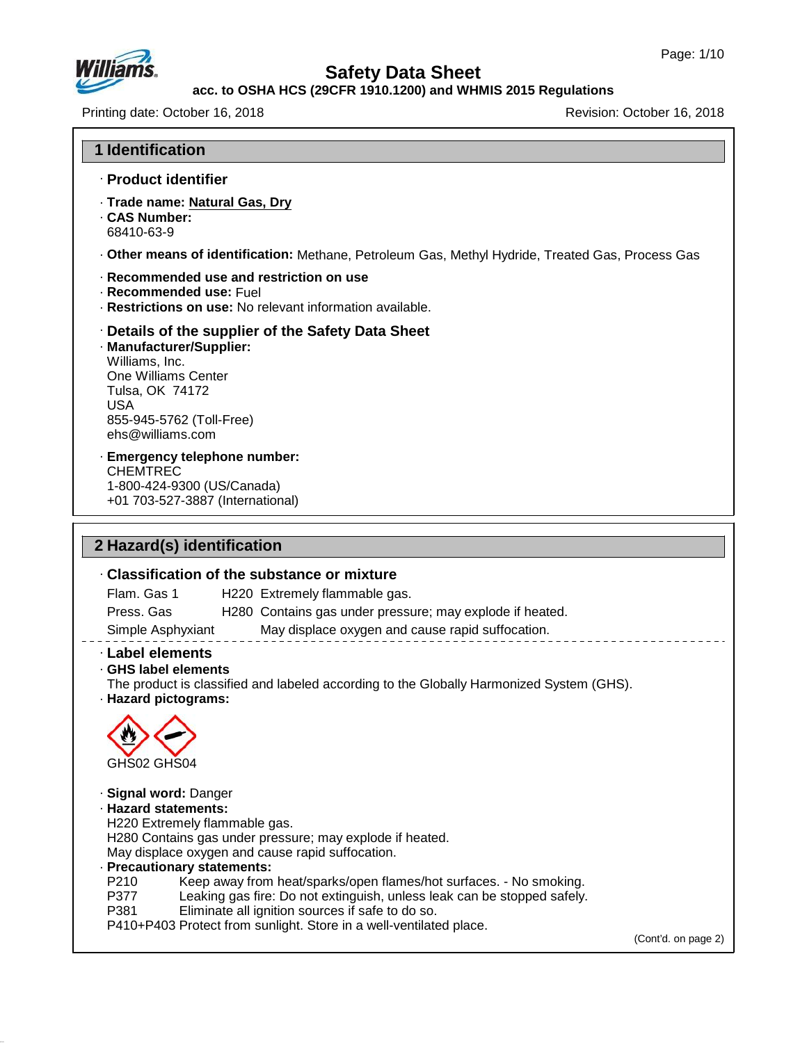

47.0.13

# **Safety Data Sheet**

#### **acc. to OSHA HCS (29CFR 1910.1200) and WHMIS 2015 Regulations**

Printing date: October 16, 2018 **Printing date:** October 16, 2018

| <b>1 Identification</b>                                                                                                                                                                                                                                                                                                                                                                                                                                    |  |
|------------------------------------------------------------------------------------------------------------------------------------------------------------------------------------------------------------------------------------------------------------------------------------------------------------------------------------------------------------------------------------------------------------------------------------------------------------|--|
| · Product identifier                                                                                                                                                                                                                                                                                                                                                                                                                                       |  |
| · Trade name: Natural Gas, Dry<br>. CAS Number:<br>68410-63-9                                                                                                                                                                                                                                                                                                                                                                                              |  |
| . Other means of identification: Methane, Petroleum Gas, Methyl Hydride, Treated Gas, Process Gas                                                                                                                                                                                                                                                                                                                                                          |  |
| Recommended use and restriction on use<br>· Recommended use: Fuel<br>· Restrictions on use: No relevant information available.                                                                                                                                                                                                                                                                                                                             |  |
| Details of the supplier of the Safety Data Sheet<br>· Manufacturer/Supplier:<br>Williams, Inc.<br>One Williams Center<br>Tulsa, OK 74172<br><b>USA</b><br>855-945-5762 (Toll-Free)<br>ehs@williams.com                                                                                                                                                                                                                                                     |  |
| · Emergency telephone number:<br><b>CHEMTREC</b><br>1-800-424-9300 (US/Canada)<br>+01 703-527-3887 (International)                                                                                                                                                                                                                                                                                                                                         |  |
| 2 Hazard(s) identification                                                                                                                                                                                                                                                                                                                                                                                                                                 |  |
| . Classification of the substance or mixture                                                                                                                                                                                                                                                                                                                                                                                                               |  |
| Flam. Gas 1<br>H220 Extremely flammable gas.                                                                                                                                                                                                                                                                                                                                                                                                               |  |
| Press. Gas<br>H280 Contains gas under pressure; may explode if heated.                                                                                                                                                                                                                                                                                                                                                                                     |  |
| May displace oxygen and cause rapid suffocation.<br>Simple Asphyxiant                                                                                                                                                                                                                                                                                                                                                                                      |  |
| · Label elements<br>GHS label elements<br>The product is classified and labeled according to the Globally Harmonized System (GHS).<br>· Hazard pictograms:<br>GHS02 GHS04                                                                                                                                                                                                                                                                                  |  |
| · Signal word: Danger<br>· Hazard statements:<br>H220 Extremely flammable gas.<br>H280 Contains gas under pressure; may explode if heated.<br>May displace oxygen and cause rapid suffocation.<br>· Precautionary statements:<br>P210<br>Keep away from heat/sparks/open flames/hot surfaces. - No smoking.<br>P377<br>Leaking gas fire: Do not extinguish, unless leak can be stopped safely.<br>P381<br>Eliminate all ignition sources if safe to do so. |  |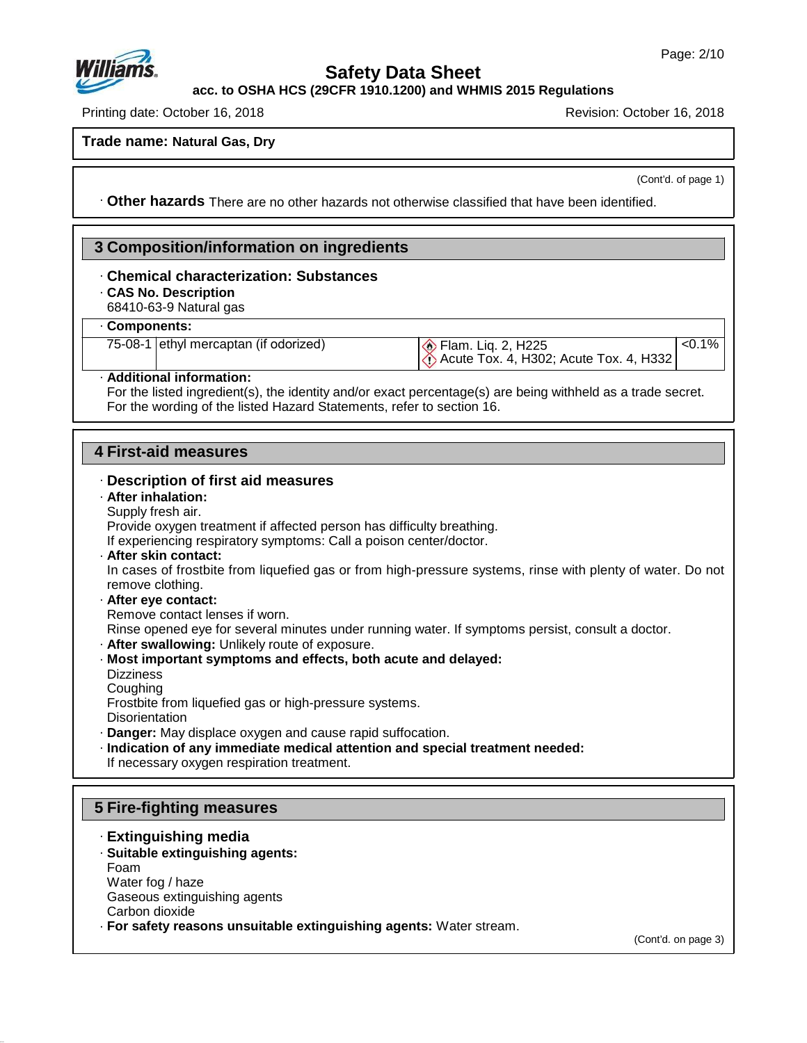

**acc. to OSHA HCS (29CFR 1910.1200) and WHMIS 2015 Regulations**

Printing date: October 16, 2018 Revision: October 16, 2018

**Trade name: Natural Gas, Dry**

(Cont'd. of page 1)

 $< 0.1%$ 

· **Other hazards** There are no other hazards nototherwise classified that have been identified.

## **3 Composition/information on ingredients**

# · **Chemical characterization: Substances**<br>
• **CAS No. Description**<br>
• 68410-63-9 Natural gas<br>
• **Components:**<br>
75-08-1 ethyl mercaptan (if odorized)

· **CAS No. Description**

68410-63-9 Natural gas

#### · **Components:**

**Elam. Liq. 2, H225** Acute Tox. 4, H302; Acute Tox. 4, H332

#### · **Additional information:**

For the listed ingredient(s), the identity and/or exact percentage(s) are being withheld as a trade secret. For the wording of the listed Hazard Statements, refer to section 16.

#### **4 First-aid measures**

#### · **Description of first aid measures**

#### · **After inhalation:**

Supply fresh air.

Provide oxygen treatment if affected person has difficulty breathing.

If experiencing respiratory symptoms: Call a poison center/doctor.

· **After skin contact:**

In cases of frostbite from liquefied gas or from high-pressure systems, rinse with plenty of water. Do not remove clothing.

· **After eye contact:**

Remove contact lenses if worn.

Rinse opened eye for several minutes under running water. If symptoms persist, consult a doctor.

- · **After swallowing:** Unlikely route of exposure.
- · **Most important symptoms and effects, both acute and delayed:**
- **Dizziness**

47.0.13

**Coughing** 

Frostbite from liquefied gas or high-pressure systems.

**Disorientation** 

· **Danger:** May displace oxygen and cause rapid suffocation.

· **Indication of any immediate medical attention and special treatment needed:** If necessary oxygen respiration treatment.

## **5 Fire-fighting measures**

- · **Extinguishing media**
- · **Suitable extinguishing agents:** Foam Water fog / haze Gaseous extinguishing agents Carbon dioxide
- · **For safety reasons unsuitable extinguishing agents:** Water stream.

(Cont'd. on page 3)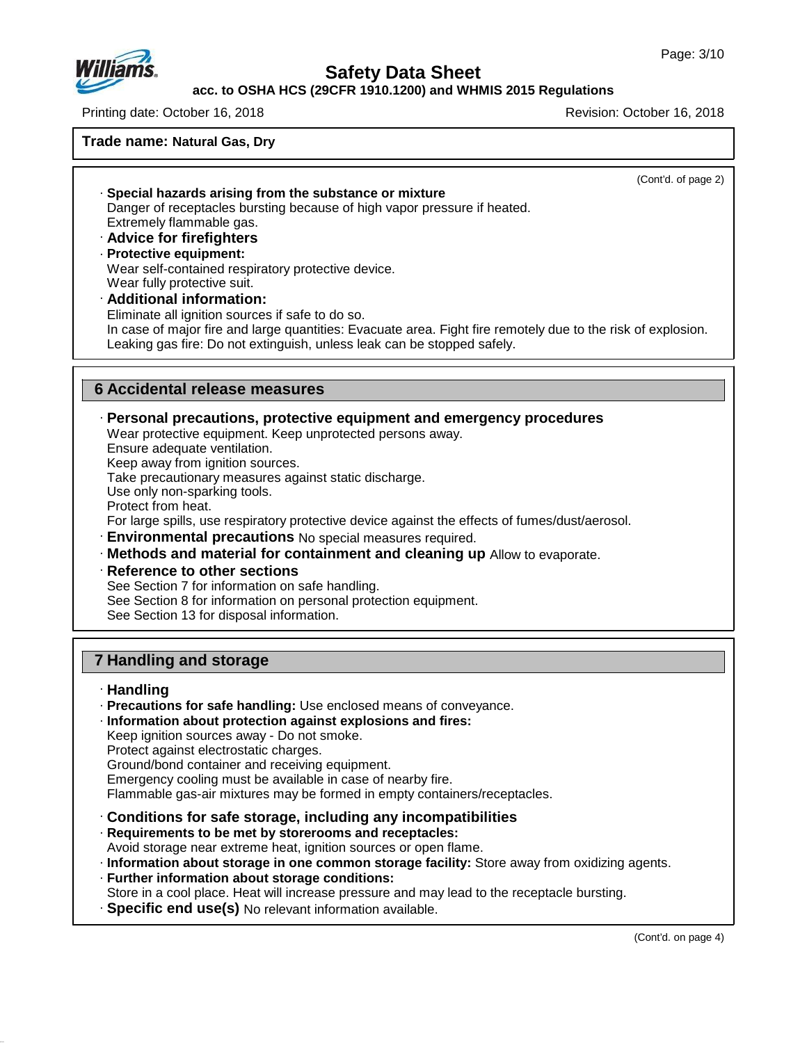

**acc. to OSHA HCS (29CFR 1910.1200) and WHMIS 2015 Regulations**

Printing date: October 16, 2018 Revision: October 16, 2018

**Trade name: Natural Gas, Dry**

(Cont'd. of page 2) · **Special hazards arising from the substance or mixture** Danger of receptacles bursting because of high vapor pressure if heated. Extremely flammable gas. · **Advice for firefighters** · **Protective equipment:** Wear self-contained respiratory protective device. Wear fully protective suit. · **Additional information:** Eliminate all ignition sources if safe to do so. In case of major fire and large quantities: Evacuate area. Fight fire remotely due to the risk of explosion. Leaking gas fire: Do not extinguish, unless leak can be stopped safely. **6 Accidental release measures** · **Personal precautions, protective equipment and emergency procedures** Wear protective equipment. Keep unprotected persons away. Ensure adequate ventilation. Keep away from ignition sources. Take precautionary measures against static discharge. Use only non-sparking tools. Protect from heat. For large spills, use respiratory protective device against the effects of fumes/dust/aerosol. · **Environmental precautions** No special measures required. · **Methods and material for containment and cleaning up** Allow to evaporate. · **Reference to other sections**

See Section 7 for information on safe handling. See Section 8 for information on personal protection equipment. See Section 13 for disposal information.

## **7 Handling and storage**

#### · **Handling**

47.0.13

- · **Precautions for safe handling:** Use enclosed means of conveyance.
- · **Information about protection against explosions and fires:** Keep ignition sources away - Do not smoke.

Protect against electrostatic charges.

Ground/bond container and receiving equipment.

Emergency cooling must be available in case of nearby fire.

Flammable gas-air mixtures may be formed in empty containers/receptacles.

- · **Conditions for safe storage, including any incompatibilities**
- · **Requirements to be met by storerooms and receptacles:** Avoid storage near extreme heat, ignition sources or open flame.
- · **Information about storage in one common storage facility:** Store away from oxidizing agents.
- · **Further information about storage conditions:**
- Store in a cool place. Heat will increase pressure and may lead to the receptacle bursting.
- · **Specific end use(s)** No relevant information available.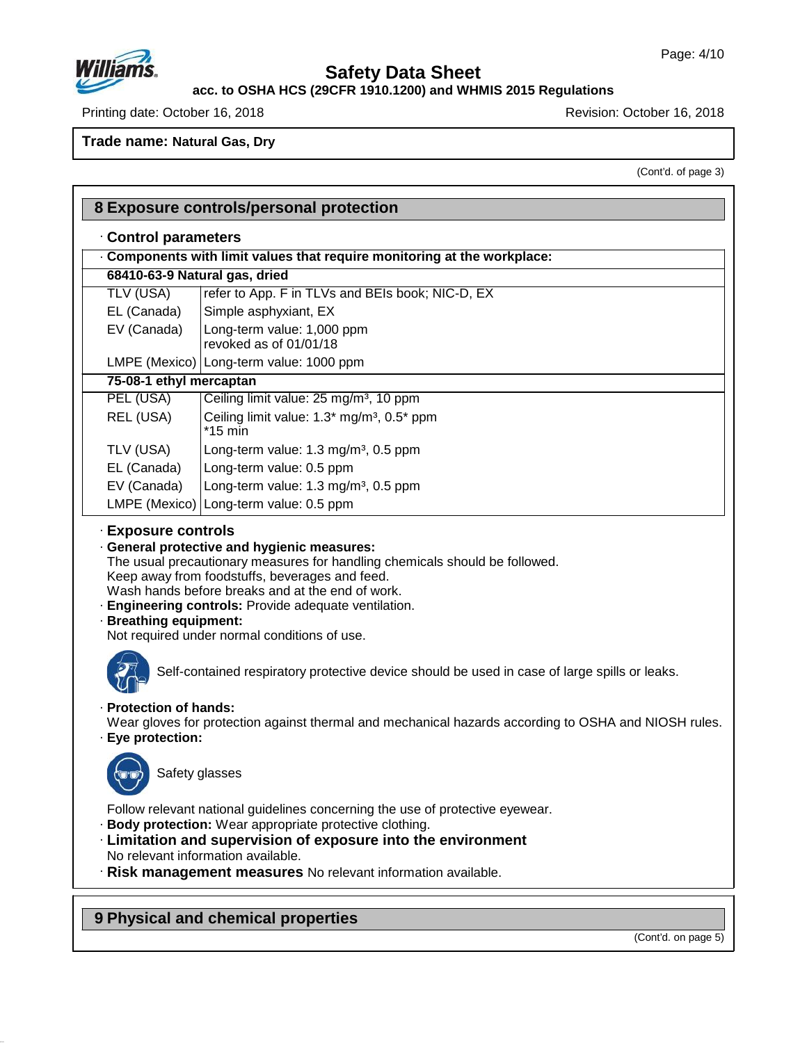

47.0.13

# **Safety Data Sheet**

**acc. to OSHA HCS (29CFR 1910.1200) and WHMIS 2015 Regulations**

Printing date: October 16, 2018 **Printing date: October 16, 2018** Revision: October 16, 2018

**Trade name: Natural Gas, Dry**

(Cont'd. of page 3)

| Components with limit values that require monitoring at the workplace:<br>68410-63-9 Natural gas, dried<br>refer to App. F in TLVs and BEIs book; NIC-D, EX<br>Simple asphyxiant, EX<br>Long-term value: 1,000 ppm<br>revoked as of 01/01/18<br>LMPE (Mexico) Long-term value: 1000 ppm<br>Ceiling limit value: 25 mg/m <sup>3</sup> , 10 ppm<br>Ceiling limit value: 1.3* mg/m <sup>3</sup> , 0.5* ppm |
|---------------------------------------------------------------------------------------------------------------------------------------------------------------------------------------------------------------------------------------------------------------------------------------------------------------------------------------------------------------------------------------------------------|
|                                                                                                                                                                                                                                                                                                                                                                                                         |
|                                                                                                                                                                                                                                                                                                                                                                                                         |
|                                                                                                                                                                                                                                                                                                                                                                                                         |
|                                                                                                                                                                                                                                                                                                                                                                                                         |
|                                                                                                                                                                                                                                                                                                                                                                                                         |
|                                                                                                                                                                                                                                                                                                                                                                                                         |
|                                                                                                                                                                                                                                                                                                                                                                                                         |
|                                                                                                                                                                                                                                                                                                                                                                                                         |
|                                                                                                                                                                                                                                                                                                                                                                                                         |
|                                                                                                                                                                                                                                                                                                                                                                                                         |
| Long-term value: 1.3 mg/m <sup>3</sup> , 0.5 ppm                                                                                                                                                                                                                                                                                                                                                        |
| Long-term value: 0.5 ppm                                                                                                                                                                                                                                                                                                                                                                                |
| Long-term value: 1.3 mg/m <sup>3</sup> , 0.5 ppm                                                                                                                                                                                                                                                                                                                                                        |
| LMPE (Mexico) Long-term value: 0.5 ppm                                                                                                                                                                                                                                                                                                                                                                  |
| · Engineering controls: Provide adequate ventilation.<br>Not required under normal conditions of use.<br>Self-contained respiratory protective device should be used in case of large spills or leaks.                                                                                                                                                                                                  |
| Wear gloves for protection against thermal and mechanical hazards according to OSHA and NIOSH rules.                                                                                                                                                                                                                                                                                                    |
|                                                                                                                                                                                                                                                                                                                                                                                                         |
| Follow relevant national guidelines concerning the use of protective eyewear.                                                                                                                                                                                                                                                                                                                           |
|                                                                                                                                                                                                                                                                                                                                                                                                         |

(Cont'd. on page 5)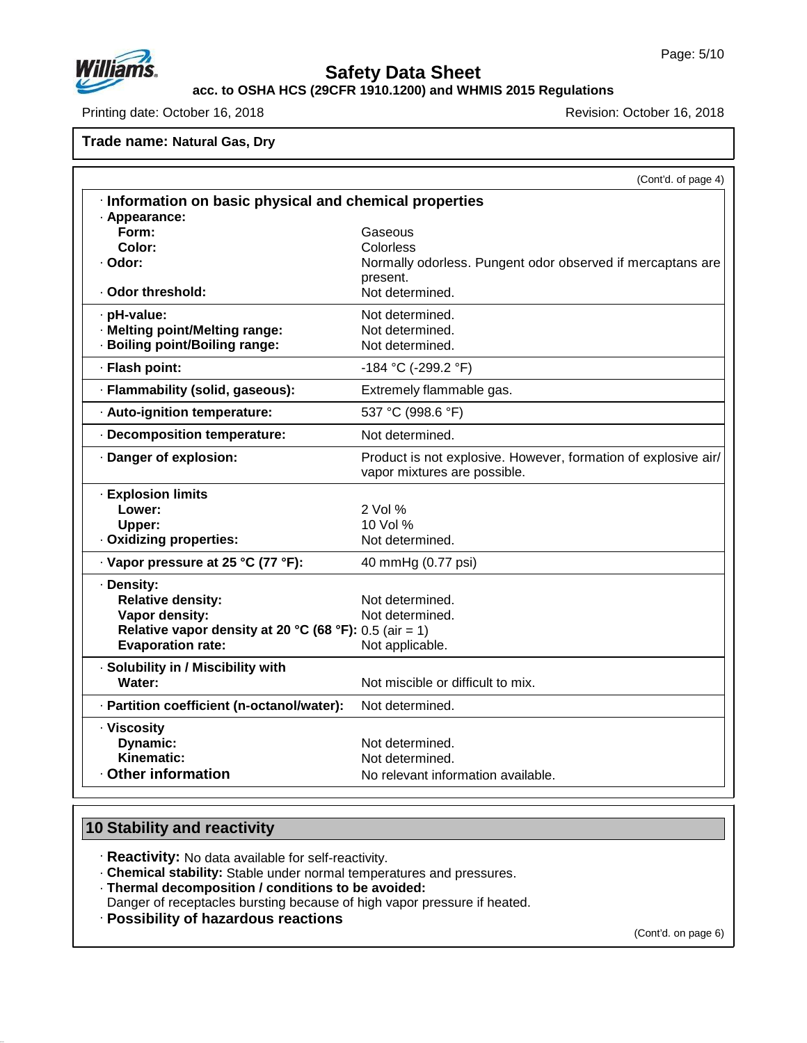

**acc. to OSHA HCS (29CFR 1910.1200) and WHMIS 2015 Regulations**

Printing date: October 16, 2018 Revision: October 16, 2018

**Trade name: Natural Gas, Dry**

(Cont'd. of page 4) · **Information on basic physical and chemical properties** · **Appearance: Form:** Gaseous **Color:** Colorless · **Odor:** Normally odorless. Pungent odor observed if mercaptans are present. · Odor threshold: Not determined. · **pH-value:** Not determined. · **Melting point/Melting range:** Not determined.  $\cdot$  Boiling point/Boiling range: · **Flash point:** -184 °C (-299.2 °F) · **Flammability (solid, gaseous):** Extremely flammable gas. · **Auto-ignition temperature:** 537 °C (998.6 °F) · **Decomposition temperature:** Not determined. · **Danger of explosion:** Product is notexplosive. However, formation of explosive air/ vapor mixtures are possible. · **Explosion limits Lower:** 2 Vol % **Upper:** 10 Vol % · Oxidizing properties: Not determined. · **Vapor pressure at 25 °C (77 °F):** 40 mmHg (0.77 psi) · **Density: Relative density:** Not determined.<br> **Vapor density:** Not determined. **Vapor density: Relative vapor density at 20 °C (68 °F):** 0.5 (air= 1) **Evaporation rate:** · **Solubility in / Miscibility with** Not miscible or difficult to mix. · **Partition coefficient (n-octanol/water):** Not determined. · **Viscosity Dynamic:** Not determined.<br> **Kinematic:** Not determined. Not determined. • Other information **Outable** No relevant information available.

## **10 Stability and reactivity**

47.0.13

· **Reactivity:** No data available for self-reactivity.

· **Chemical stability:** Stable under normal temperatures and pressures.

· **Thermal decomposition / conditions to be avoided:**

Danger of receptacles bursting because of high vapor pressure if heated.

· **Possibility of hazardous reactions**

(Cont'd. on page 6)

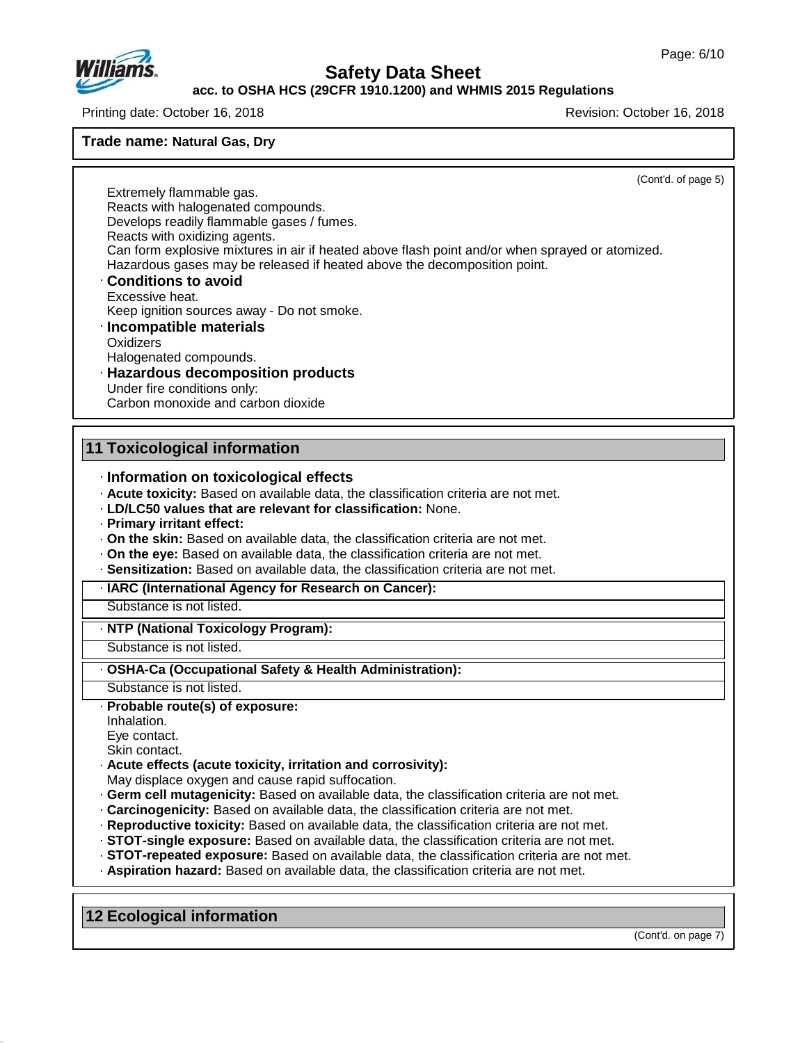

#### **acc. to OSHA HCS (29CFR 1910.1200) and WHMIS 2015 Regulations**

Printing date: October 16, 2018 Revision: October 16, 2018

**Trade name: Natural Gas, Dry**

(Cont'd. of page 5)

Extremely flammable gas. Reacts with halogenated compounds. Develops readily flammable gases / fumes. Reacts with oxidizing agents. Can form explosive mixtures in air if heated above flash point and/or when sprayed or atomized. Hazardous gases may be released if heated above the decomposition point. · **Conditions to avoid** Excessive heat. Keep ignition sources away - Do not smoke. · **Incompatible materials Oxidizers** 

Halogenated compounds.

· **Hazardous decomposition products** Under fire conditions only: Carbon monoxide and carbon dioxide

## **11 Toxicological information**

- · **Information on toxicological effects**
- · **Acute toxicity:** Based on available data, the classification criteria are not met.
- · **LD/LC50 values that are relevant for classification:** None.
- · **Primary irritant effect:**
- · **On the skin:** Based on available data, the classification criteria are not met.
- · **On the eye:** Based on available data, the classification criteria are not met.
- · **Sensitization:** Based on available data, the classification criteria are not met.
- · **IARC (International Agency for Research on Cancer):**

Substance is not listed.

#### · **NTP (National Toxicology Program):**

Substance is not listed.

· **OSHA-Ca (Occupational Safety & Health Administration):**

Substance is not listed.

#### · **Probable route(s) of exposure:**

Inhalation.

Eye contact.

Skin contact.

47.0.13

- · **Acute effects (acute toxicity, irritation and corrosivity):**
- May displace oxygen and cause rapid suffocation.
- · **Germ cell mutagenicity:** Based on available data, the classification criteria are not met.
- · **Carcinogenicity:** Based on available data, the classification criteria are not met.
- · **Reproductive toxicity:** Based on available data, the classification criteria are not met.
- · **STOT-single exposure:** Based on available data, the classification criteria are not met.
- · **STOT-repeated exposure:** Based on available data, the classification criteria are not met.
- · **Aspiration hazard:** Based on available data, the classification criteria are not met.

**12 Ecological information**

(Cont'd. on page 7)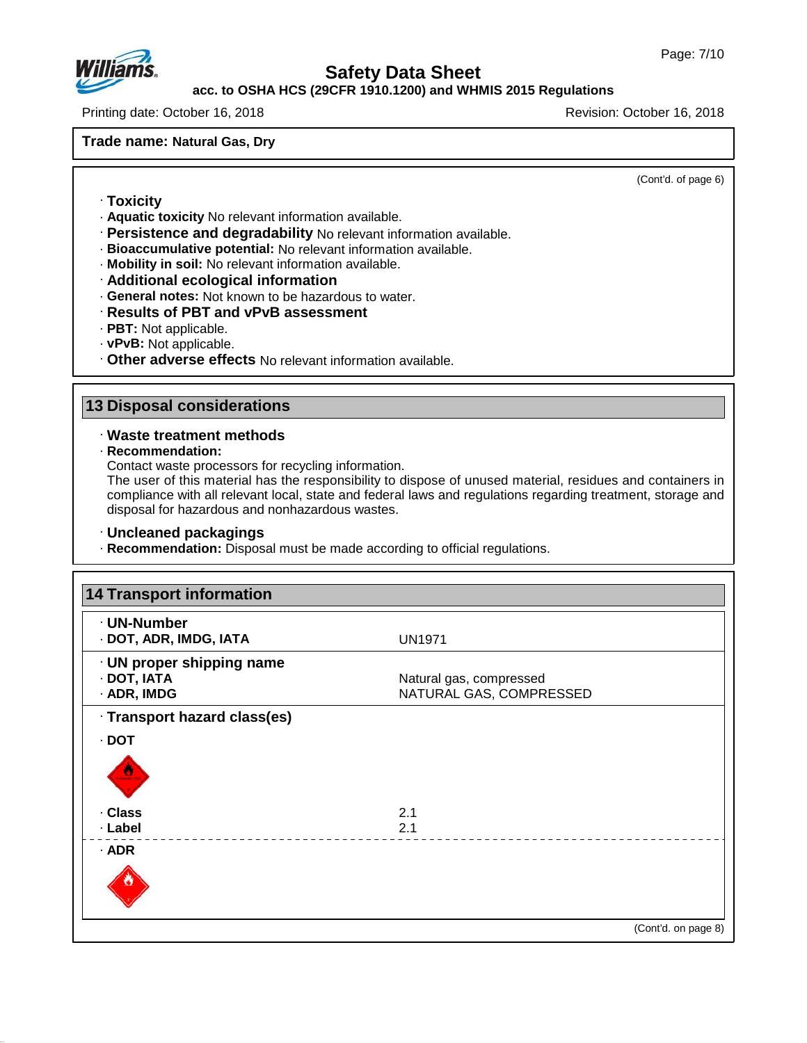

## **acc. to OSHA HCS (29CFR 1910.1200) and WHMIS 2015 Regulations**

Printing date: October 16, 2018 Revision: October 16, 2018

**Trade name: Natural Gas, Dry**

(Cont'd. of page 6)

- · **Toxicity**
- · **Aquatic toxicity** No relevant information available.
- · **Persistence and degradability** No relevant information available.
- · **Bioaccumulative potential:** No relevant information available.
- · **Mobility in soil:** No relevant information available.
- · **Additional ecological information**
- · **General notes:** Not known to be hazardous to water.
- · **Results of PBT and vPvB assessment**
- · **PBT:** Not applicable.
- · **vPvB:** Not applicable.
- · **Other adverse effects** No relevant information available.

## **13 Disposal considerations**

- · **Waste treatment methods**
- · **Recommendation:**

47.0.13

Contact waste processors for recycling information.

The user of this material has the responsibility to dispose of unused material, residues and containers in compliance with all relevant local, state and federal laws and regulations regarding treatment, storage and disposal for hazardous and nonhazardous wastes.

#### · **Uncleaned packagings**

· **Recommendation:** Disposal must be made according to official regulations.

| · UN-Number                  |                         |  |
|------------------------------|-------------------------|--|
| · DOT, ADR, IMDG, IATA       | <b>UN1971</b>           |  |
| · UN proper shipping name    |                         |  |
| · DOT, IATA                  | Natural gas, compressed |  |
| · ADR, IMDG                  | NATURAL GAS, COMPRESSED |  |
| · Transport hazard class(es) |                         |  |
| $\cdot$ DOT                  |                         |  |
|                              |                         |  |
| · Class                      | 2.1                     |  |
| · Label                      | 2.1                     |  |
| $·$ ADR                      |                         |  |
|                              |                         |  |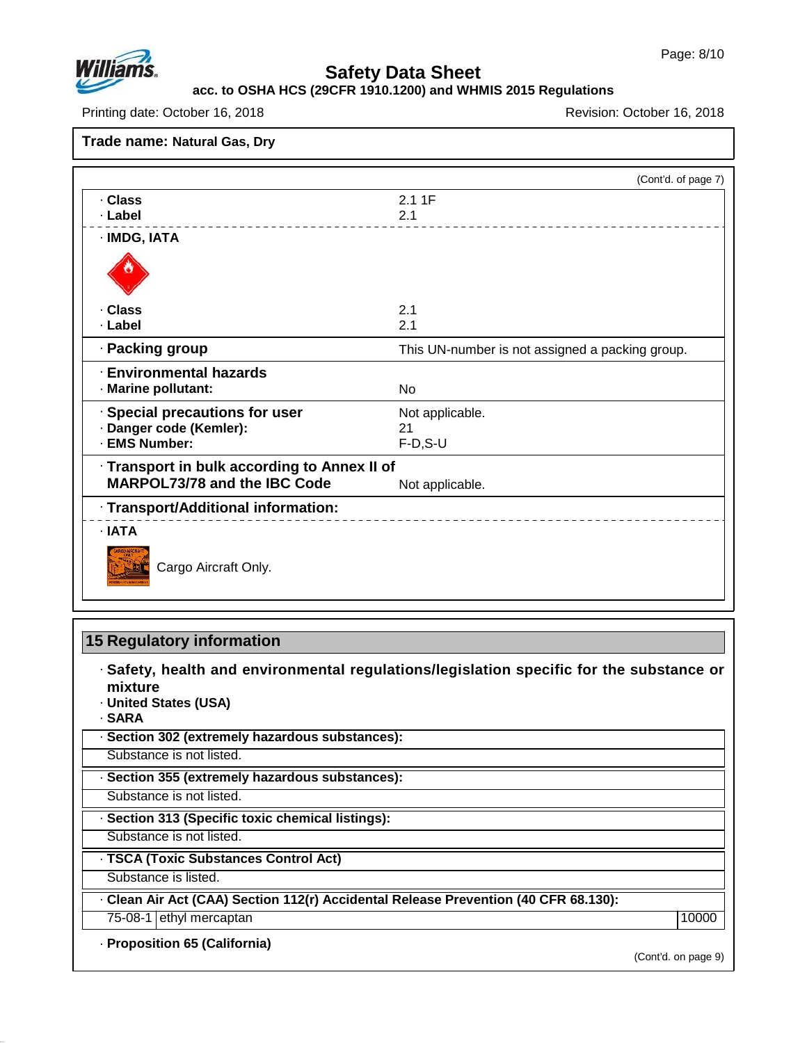



## **acc. to OSHA HCS (29CFR 1910.1200) and WHMIS 2015 Regulations**

Printing date: October 16, 2018 **Printing date: October 16, 2018** Revision: October 16, 2018

**Trade name: Natural Gas, Dry**

|                                              | (Cont'd. of page 7)                             |
|----------------------------------------------|-------------------------------------------------|
| · Class<br>· Label                           | 2.11F<br>2.1                                    |
| · IMDG, IATA                                 |                                                 |
|                                              |                                                 |
| · Class                                      | 2.1                                             |
| · Label                                      | 2.1                                             |
| · Packing group                              | This UN-number is not assigned a packing group. |
| <b>Environmental hazards</b>                 |                                                 |
| · Marine pollutant:                          | <b>No</b>                                       |
| · Special precautions for user               | Not applicable.                                 |
| · Danger code (Kemler):                      | 21                                              |
| · EMS Number:                                | $F-D$ , S-U                                     |
| · Transport in bulk according to Annex II of |                                                 |
| <b>MARPOL73/78 and the IBC Code</b>          | Not applicable.                                 |
| · Transport/Additional information:          |                                                 |
| $\cdot$ IATA                                 |                                                 |
| Cargo Aircraft Only.                         |                                                 |

# **15 Regulatory information**

· **Safety, health and environmental regulations/legislation specific for the substance or mixture**

- · **United States (USA)**
- · **SARA**

47.0.13

· **Section 302 (extremely hazardous substances):**

Substance is not listed.

· **Section 355 (extremely hazardous substances):**

Substance is not listed.

· **Section 313 (Specific toxic chemical listings):**

Substance is not listed.

· **TSCA (Toxic Substances Control Act)**

Substance is listed.

· **Clean AirAct (CAA) Section 112(r) Accidental Release Prevention (40 CFR 68.130):**

75-08-1 ethyl mercaptan 10000 and 10000 and 10000 and 10000 and 10000 and 10000 and 10000 and 10000 and 10000 and 10000 and 10000 and 10000 and 10000 and 10000 and 10000 and 10000 and 10000 and 10000 and 10000 and 10000 an

· **Proposition 65 (California)**

(Cont'd. on page 9)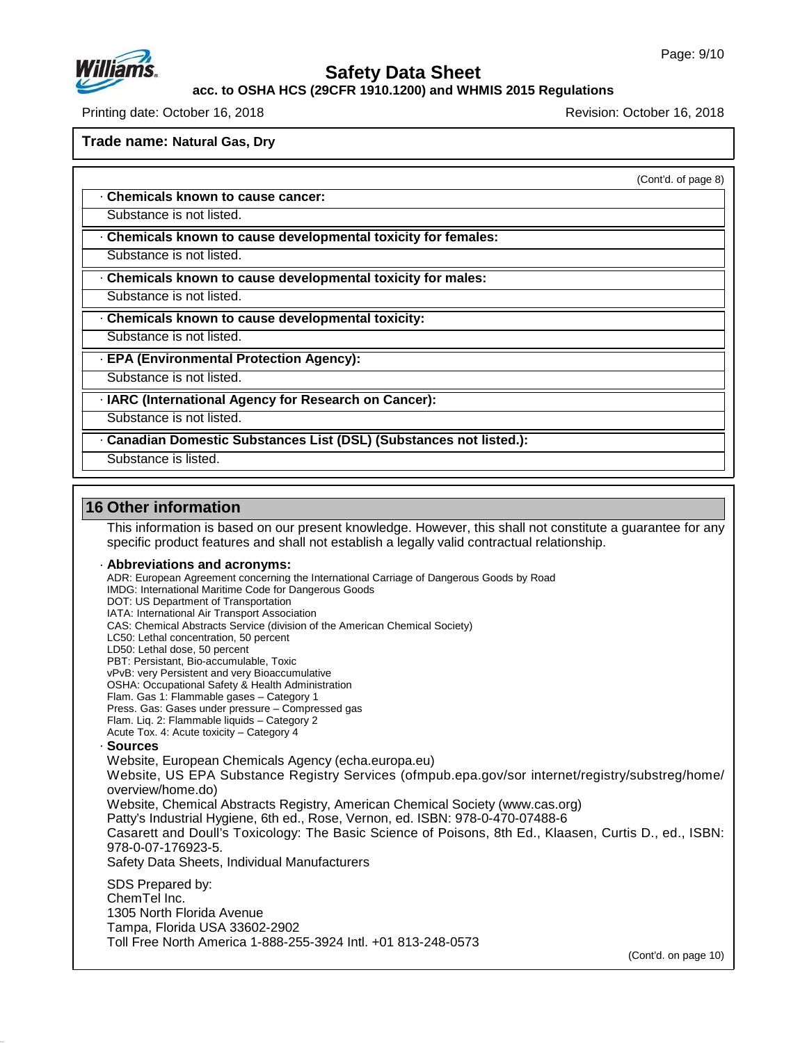

**acc. to OSHA HCS (29CFR 1910.1200) and WHMIS 2015 Regulations**

Printing date: October 16, 2018 Revision: October 16, 2018

**Trade name: Natural Gas, Dry**

(Cont'd. of page 8)

· **Chemicals known to cause cancer:**

Substance is not listed.

· **Chemicals known to cause developmental toxicity for females:**

Substance is not listed.

· **Chemicals known to cause developmental toxicity for males:**

Substance is not listed.

· **Chemicals known to cause developmental toxicity:**

Substance is not listed.

· **EPA (Environmental Protection Agency):**

Substance is not listed.

· **IARC (International Agency for Research on Cancer):**

Substance is not listed.

· **Canadian Domestic Substances List (DSL) (Substances not listed.):**

Substance is listed.

## **16 Other information**

47.0.13

This information is based on our present knowledge. However, this shall not constitute a guarantee for any specific product features and shall not establish a legally valid contractual relationship.

#### · **Abbreviations and acronyms:**

ADR: European Agreement concerning the International Carriage of Dangerous Goods by Road IMDG: International Maritime Code for Dangerous Goods DOT: US Department of Transportation IATA: International Air Transport Association CAS: Chemical Abstracts Service (division of the American Chemical Society) LC50: Lethal concentration, 50 percent LD50: Lethal dose, 50 percent PBT: Persistant, Bio-accumulable, Toxic vPvB: very Persistent and very Bioaccumulative OSHA: Occupational Safety & Health Administration Flam. Gas 1: Flammable gases – Category 1 Press. Gas: Gases under pressure – Compressed gas Flam. Liq. 2: Flammable liquids – Category 2 Acute Tox. 4: Acute toxicity – Category 4 · **Sources** Website, European Chemicals Agency (echa.europa.eu) Website, US EPA Substance Registry Services (ofmpub.epa.gov/sor internet/registry/substreg/home/ overview/home.do) Website, Chemical Abstracts Registry, American Chemical Society (www.cas.org) Patty's Industrial Hygiene, 6th ed., Rose, Vernon, ed. ISBN: 978-0-470-07488-6 Casarett and Doull's Toxicology: The Basic Science of Poisons, 8th Ed., Klaasen, Curtis D.,ed., ISBN: 978-0-07-176923-5. Safety Data Sheets, Individual Manufacturers SDS Prepared by: ChemTel Inc. 1305 North Florida Avenue Tampa, Florida USA 33602-2902 Toll Free North America 1-888-255-3924 Intl. +01 813-248-0573

(Cont'd. on page 10)